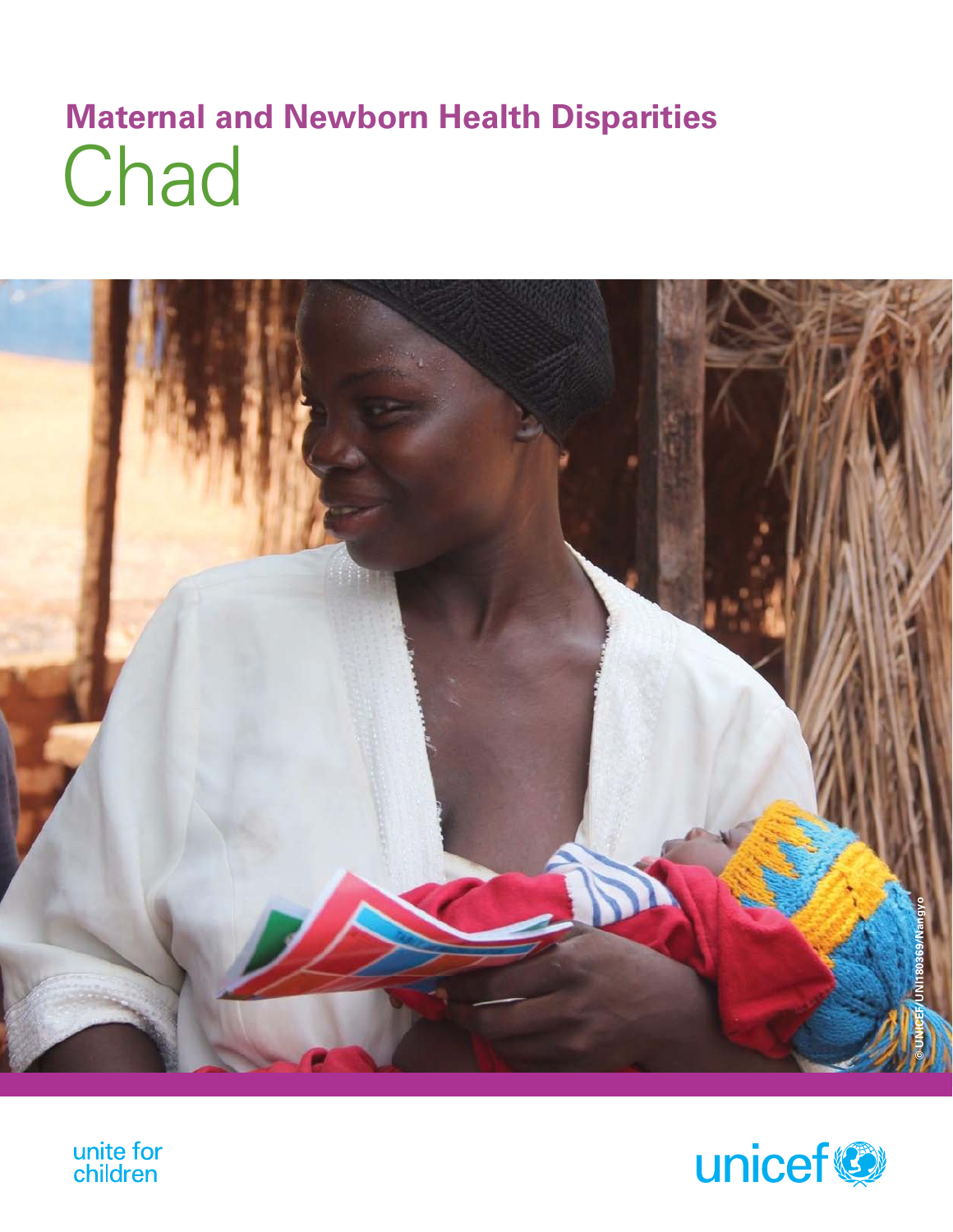# **Chad Maternal and Newborn Health Disparities**





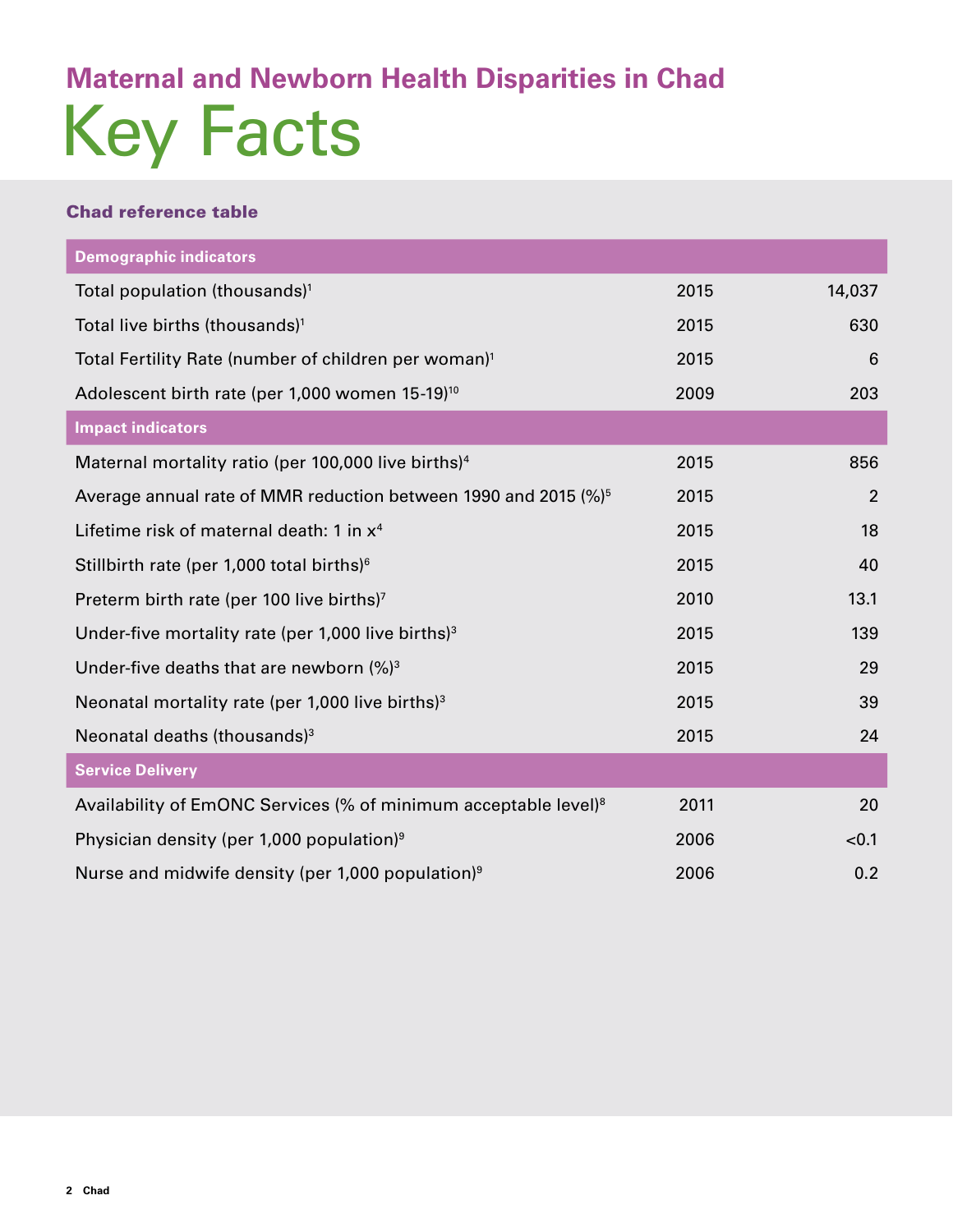# Key Facts **Maternal and Newborn Health Disparities in Chad**

## Chad reference table

| <b>Demographic indicators</b>                                               |      |                |
|-----------------------------------------------------------------------------|------|----------------|
| Total population (thousands) <sup>1</sup>                                   | 2015 | 14,037         |
| Total live births (thousands) <sup>1</sup>                                  | 2015 | 630            |
| Total Fertility Rate (number of children per woman) <sup>1</sup>            | 2015 | 6              |
| Adolescent birth rate (per 1,000 women 15-19) <sup>10</sup>                 | 2009 | 203            |
| <b>Impact indicators</b>                                                    |      |                |
| Maternal mortality ratio (per 100,000 live births) <sup>4</sup>             | 2015 | 856            |
| Average annual rate of MMR reduction between 1990 and 2015 (%) <sup>5</sup> | 2015 | $\overline{2}$ |
| Lifetime risk of maternal death: 1 in x <sup>4</sup>                        | 2015 | 18             |
| Stillbirth rate (per 1,000 total births) <sup>6</sup>                       | 2015 | 40             |
| Preterm birth rate (per 100 live births) <sup>7</sup>                       | 2010 | 13.1           |
| Under-five mortality rate (per 1,000 live births) $3$                       | 2015 | 139            |
| Under-five deaths that are newborn $(%)^3$                                  | 2015 | 29             |
| Neonatal mortality rate (per 1,000 live births) $3$                         | 2015 | 39             |
| Neonatal deaths (thousands) <sup>3</sup>                                    | 2015 | 24             |
| <b>Service Delivery</b>                                                     |      |                |
| Availability of EmONC Services (% of minimum acceptable level) <sup>8</sup> | 2011 | 20             |
| Physician density (per 1,000 population) <sup>9</sup>                       | 2006 | < 0.1          |
| Nurse and midwife density (per 1,000 population) <sup>9</sup>               | 2006 | 0.2            |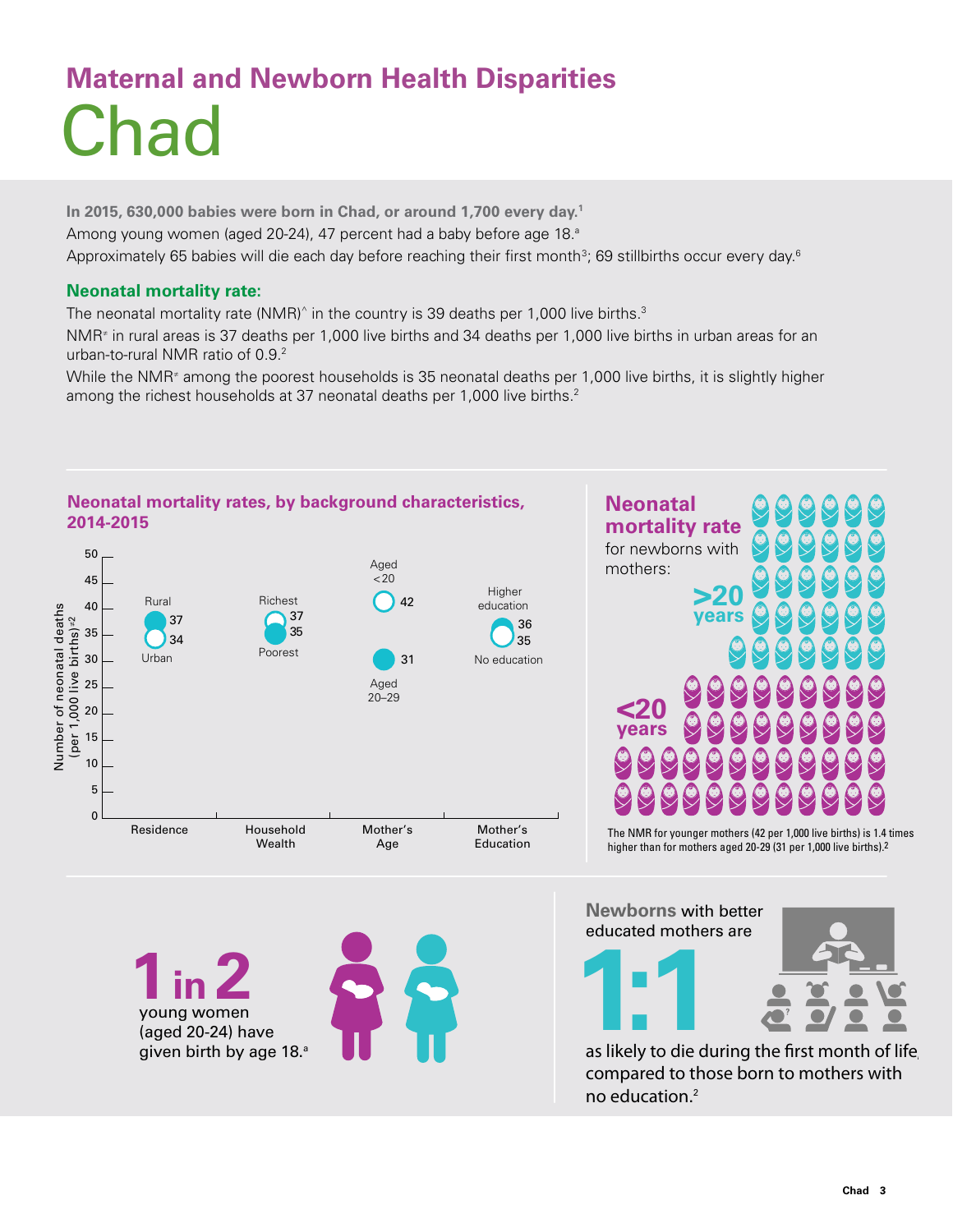# Chad **Maternal and Newborn Health Disparities**

**In 2015, 630,000 babies were born in Chad, or around 1,700 every day.1** Among young women (aged 20-24), 47 percent had a baby before age 18.ª Approximately 65 babies will die each day before reaching their first month $^3$ ; 69 stillbirths occur every day. $^6$ 

### **Neonatal mortality rate:**

The neonatal mortality rate (NMR)^ in the country is 39 deaths per 1,000 live births. $^3$ 

NMR≠ in rural areas is 37 deaths per 1,000 live births and 34 deaths per 1,000 live births in urban areas for an urban-to-rural NMR ratio of 0.9.<sup>2</sup>

While the NMR<sup>≠</sup> among the poorest households is 35 neonatal deaths per 1,000 live births, it is slightly higher among the richest households at 37 neonatal deaths per 1,000 live births.<sup>2</sup>

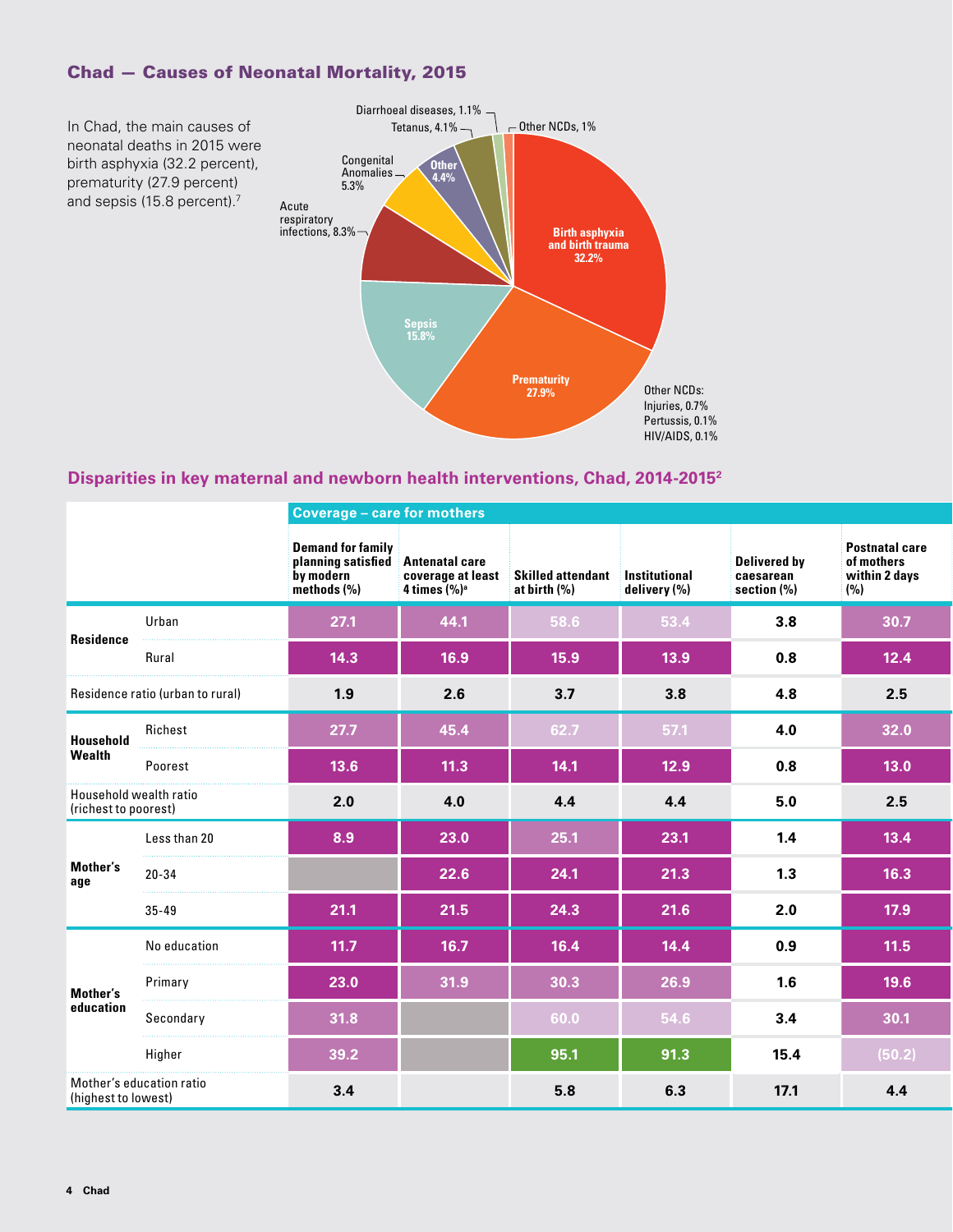# Chad — Causes of Neonatal Mortality, 2015



# **Disparities in key maternal and newborn health interventions, Chad, 2014-20152**

|                                                |                          | <b>Coverage - care for mothers</b>                                         |                                    |                                                                   |              |                                          |                                                             |  |  |
|------------------------------------------------|--------------------------|----------------------------------------------------------------------------|------------------------------------|-------------------------------------------------------------------|--------------|------------------------------------------|-------------------------------------------------------------|--|--|
|                                                |                          | <b>Demand for family</b><br>planning satisfied<br>by modern<br>methods (%) | Antenatal care<br>4 times $(\%)^a$ | coverage at least Skilled attendant Institutional<br>at birth (%) | delivery (%) | Delivered by<br>caesarean<br>section (%) | <b>Postnatal care</b><br>of mothers<br>within 2 days<br>(%) |  |  |
|                                                | Urban                    | 27.1                                                                       | 44.1                               | 58.6                                                              | 53.4         | 3.8                                      | 30.7                                                        |  |  |
| Residence                                      | Rural                    | 14.3                                                                       | 16.9                               | 15.9                                                              | 13.9         | 0.8                                      | 12.4                                                        |  |  |
| Residence ratio (urban to rural)               |                          | 1.9                                                                        | 2.6                                | 3.7                                                               | 3.8          | 4.8                                      | 2.5                                                         |  |  |
| Household                                      | Richest                  | 27.7                                                                       | 45.4                               | 62.7                                                              | 57.1         | 4.0                                      | 32.0                                                        |  |  |
| Wealth                                         | Poorest                  | $13.6$                                                                     | 11.3                               | 14.1                                                              | 12.9         | 0.8                                      | $13.0$                                                      |  |  |
| Household wealth ratio<br>(richest to poorest) |                          | 2.0                                                                        | 4.0                                | 4.4                                                               | 4.4          | 5.0                                      | 2.5                                                         |  |  |
|                                                | Less than 20             | 8.9                                                                        | 23.0                               | 25.1                                                              | 23.1         | 1.4                                      | 13.4                                                        |  |  |
| Mother's<br>age                                | $20 - 34$                |                                                                            | 22.6                               | 24.1                                                              | 21.3         | 1.3                                      | 16.3                                                        |  |  |
|                                                | $35 - 49$                | 21.1                                                                       | 21.5                               | 24.3                                                              | 21.6         | 2.0                                      | $17.9$                                                      |  |  |
|                                                | No education             | 11.7                                                                       | $16.7$                             | $16.4$                                                            | 14.4         | 0.9                                      | $11.5$                                                      |  |  |
| Mother's                                       | Primary                  | 23.0                                                                       | 31.9                               | 30.3                                                              | 26.9         | 1.6                                      | 19.6                                                        |  |  |
| education                                      | Secondary                | 31.8                                                                       |                                    | 60.0                                                              | 54.6         | 3.4                                      | 30.1                                                        |  |  |
|                                                | Higher                   | 39.2                                                                       |                                    | 95.1                                                              | 91.3         | 15.4                                     | (50.2)                                                      |  |  |
| (highest to lowest)                            | Mother's education ratio | 3.4                                                                        |                                    | 5.8                                                               | 6.3          | 17.1                                     | 4.4                                                         |  |  |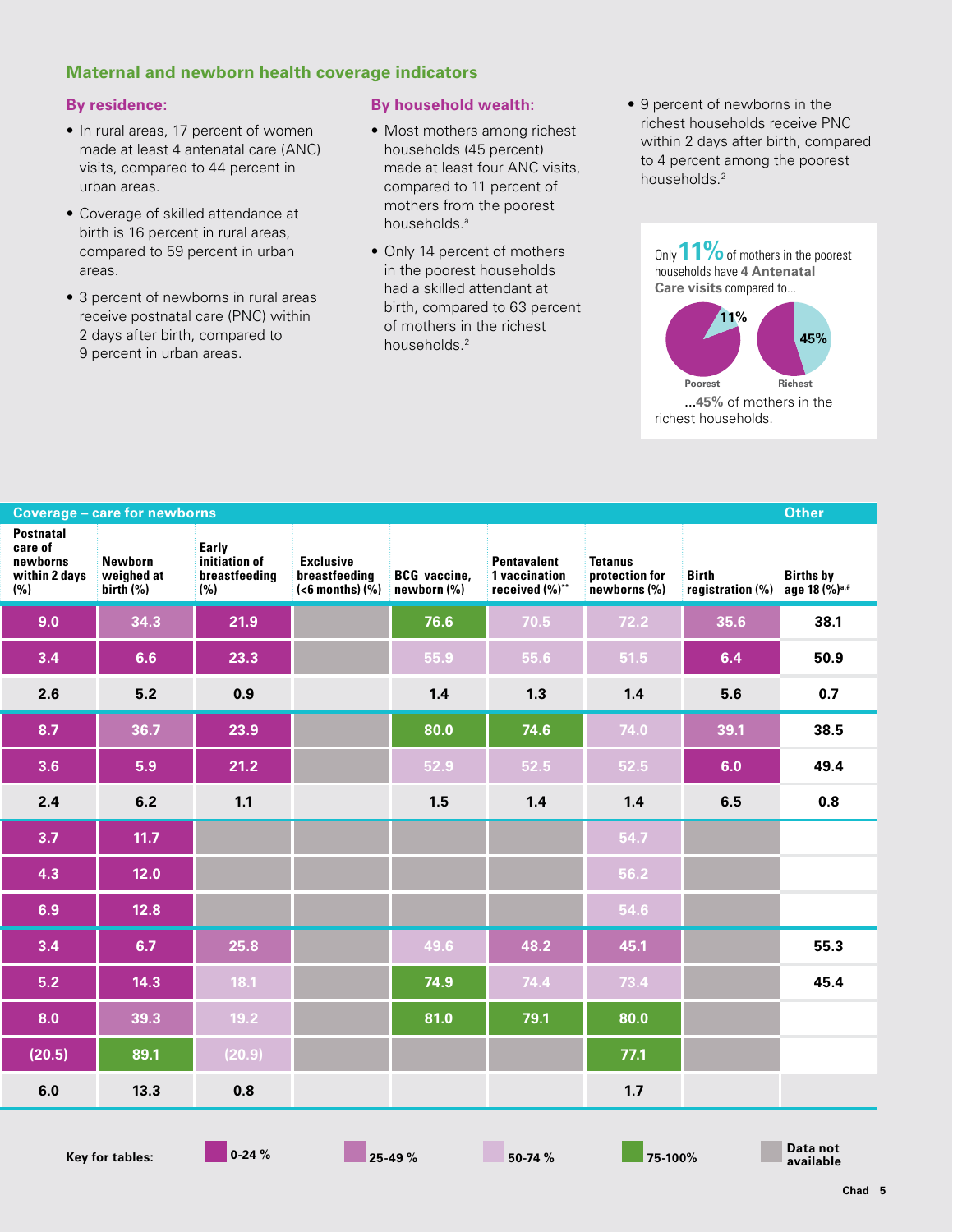### **Maternal and newborn health coverage indicators**

#### **By residence:**

- In rural areas, 17 percent of women made at least 4 antenatal care (ANC) visits, compared to 44 percent in urban areas.
- Coverage of skilled attendance at birth is 16 percent in rural areas, compared to 59 percent in urban areas.
- 3 percent of newborns in rural areas receive postnatal care (PNC) within 2 days after birth, compared to 9 percent in urban areas.

#### **By household wealth:**

- Most mothers among richest households (45 percent) made at least four ANC visits, compared to 11 percent of mothers from the poorest households.<sup>a</sup>
- Only 14 percent of mothers in the poorest households had a skilled attendant at birth, compared to 63 percent of mothers in the richest households.2
- 9 percent of newborns in the richest households receive PNC within 2 days after birth, compared to 4 percent among the poorest households.<sup>2</sup>



| <b>Coverage - care for newborns</b>                             |                                       |                                                |                                                                                                       |      |                                                |                                           |                           | Other                                  |
|-----------------------------------------------------------------|---------------------------------------|------------------------------------------------|-------------------------------------------------------------------------------------------------------|------|------------------------------------------------|-------------------------------------------|---------------------------|----------------------------------------|
| <b>Postnatal</b><br>care of<br>newborns<br>within 2 days<br>(%) | Newborn<br>weighed at<br>birth $(\%)$ | Early<br>initiation of<br>breastfeeding<br>(%) | <b>Exclusive</b><br>breastfeeding BCG vaccine,<br>$\left( < 6 \text{ months} \right)$ (%) newborn (%) |      | Pentavalent<br>1 vaccination<br>received (%)** | Tetanus<br>protection for<br>newborns (%) | Birth<br>registration (%) | Births by<br>age 18 (%) <sup>a,#</sup> |
| 9.0                                                             | 34.3                                  | 21.9                                           |                                                                                                       | 76.6 | 70.5                                           | 72.2                                      | 35.6                      | 38.1                                   |
| 3.4                                                             | 6.6                                   | 23.3                                           |                                                                                                       | 55.9 | 55.6                                           | 51.5                                      | 6.4                       | 50.9                                   |
| 2.6                                                             | $5.2$                                 | 0.9                                            |                                                                                                       | 1.4  | 1.3                                            | 1.4                                       | 5.6                       | 0.7                                    |
| 8.7                                                             | 36.7                                  | 23.9                                           |                                                                                                       | 80.0 | 74.6                                           | 74.0                                      | 39.1                      | 38.5                                   |
| 3.6                                                             | 5.9                                   | 21.2                                           |                                                                                                       | 52.9 | 52.5                                           | 52.5                                      | 6.0                       | 49.4                                   |
| 2.4                                                             | 6.2                                   | 1.1                                            |                                                                                                       | 1.5  | 1.4                                            | 1.4                                       | 6.5                       | 0.8                                    |
| 3.7                                                             | 11.7                                  |                                                |                                                                                                       |      |                                                | 54.7                                      |                           |                                        |
| 4.3                                                             | 12.0                                  |                                                |                                                                                                       |      |                                                | 56.2                                      |                           |                                        |
| 6.9                                                             | 12.8                                  |                                                |                                                                                                       |      |                                                | 54.6                                      |                           |                                        |
| 3.4                                                             | 6.7                                   | 25.8                                           |                                                                                                       | 49.6 | 48.2                                           | 45.1                                      |                           | 55.3                                   |
| 5.2                                                             | 14.3                                  | 18.1                                           |                                                                                                       | 74.9 | 74.4                                           | 73.4                                      |                           | 45.4                                   |
| 8.0                                                             | 39.3                                  | 19.2                                           |                                                                                                       | 81.0 | 79.1                                           | 80.0                                      |                           |                                        |
| (20.5)                                                          | 89.1                                  | (20.9)                                         |                                                                                                       |      |                                                | 77.1                                      |                           |                                        |
| 6.0                                                             | 13.3                                  | 0.8                                            |                                                                                                       |      |                                                | 1.7                                       |                           |                                        |

**Data not available**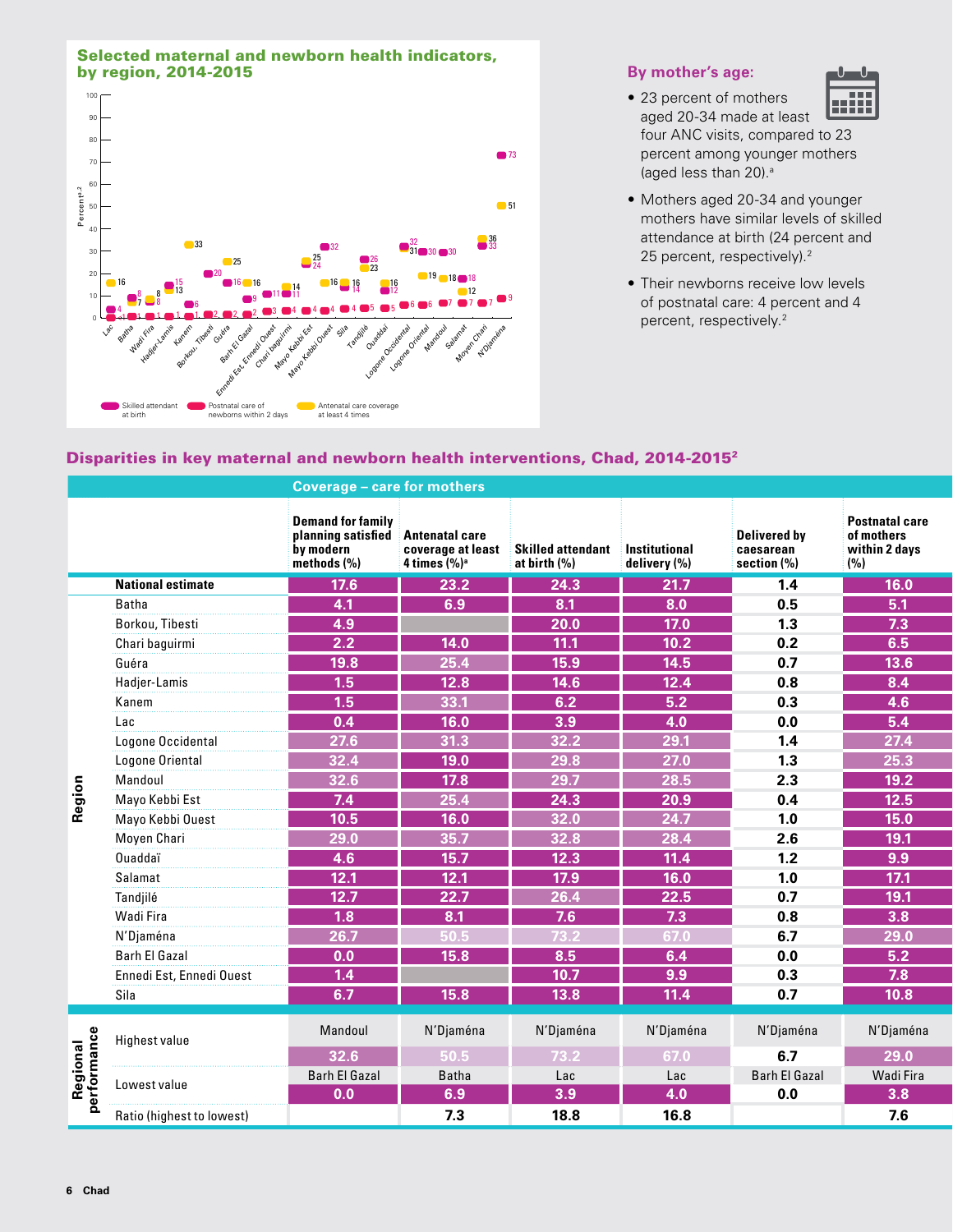#### Selected maternal and newborn health indicators, **by region, 2014-2015 By mother's age: By mother's age:**



• 23 percent of mothers

# ||||||

- aged 20-34 made at least four ANC visits, compared to 23 percent among younger mothers (aged less than 20).<sup>a</sup>
- Mothers aged 20-34 and younger mothers have similar levels of skilled attendance at birth (24 percent and 25 percent, respectively).<sup>2</sup>
- Their newborns receive low levels of postnatal care: 4 percent and 4 percent, respectively.<sup>2</sup>

### Disparities in key maternal and newborn health interventions, Chad, 2014-20152

|                        |                           | <b>Coverage - care for mothers</b>                                         |                                           |                                                                      |                   |                                                     |                                                             |  |  |
|------------------------|---------------------------|----------------------------------------------------------------------------|-------------------------------------------|----------------------------------------------------------------------|-------------------|-----------------------------------------------------|-------------------------------------------------------------|--|--|
|                        |                           | <b>Demand for family</b><br>planning satisfied<br>by modern<br>methods (%) | <b>Antenatal care</b><br>4 times $(\%)^a$ | coverage at least Skilled attendant Institutional<br>at birth $(\%)$ | delivery (%)      | <b>Delivered by</b><br>caesarean<br>section $(\% )$ | <b>Postnatal care</b><br>of mothers<br>within 2 days<br>(%) |  |  |
|                        | <b>National estimate</b>  | $\overline{17.6}$                                                          | 23.2                                      | 24.3                                                                 | 21.7              | 1.4                                                 | 16.0                                                        |  |  |
|                        | Batha                     | 4.1                                                                        | 6.9                                       | 8.1                                                                  | 8.0               | 0.5                                                 | 5.1                                                         |  |  |
|                        | Borkou, Tibesti           | 4.9                                                                        |                                           | 20.0                                                                 | $\overline{17.0}$ | 1.3                                                 | 7.3                                                         |  |  |
|                        | Chari baguirmi            | 2.2                                                                        | 14.0                                      | 11.1                                                                 | 10.2              | 0.2                                                 | 6.5                                                         |  |  |
|                        | Guéra                     | 19.8                                                                       | 25.4                                      | 15.9                                                                 | $\overline{14.5}$ | 0.7                                                 | 13.6                                                        |  |  |
|                        | Hadjer-Lamis              | 1.5                                                                        | $12.8$                                    | 14.6                                                                 | 12.4              | 0.8                                                 | 8.4                                                         |  |  |
|                        | Kanem                     | 1.5                                                                        | 33.1                                      | 6.2                                                                  | 5.2               | 0.3                                                 | 4.6                                                         |  |  |
|                        | Lac                       | 0.4                                                                        | 16.0                                      | 3.9                                                                  | 4.0               | 0.0                                                 | 5.4                                                         |  |  |
|                        | Logone Occidental         | 27.6                                                                       | 31.3                                      | 32.2                                                                 | 29.1              | 1.4                                                 | 27.4                                                        |  |  |
|                        | Logone Oriental           | 32.4                                                                       | 19.0                                      | 29.8                                                                 | 27.0              | 1.3                                                 | 25.3                                                        |  |  |
|                        | Mandoul                   | 32.6                                                                       | $\boxed{17.8}$                            | 29.7                                                                 | 28.5              | 2.3                                                 | $19.2$                                                      |  |  |
| Region                 | Mayo Kebbi Est            | 7.4                                                                        | 25.4                                      | 24.3                                                                 | 20.9              | 0.4                                                 | $\overline{12.5}$                                           |  |  |
|                        | Mayo Kebbi Ouest          | $10.5$                                                                     | 16.0                                      | 32.0                                                                 | 24.7              | 1.0                                                 | 15.0                                                        |  |  |
|                        | Moyen Chari               | 29.0                                                                       | 35.7                                      | 32.8                                                                 | 28.4              | 2.6                                                 | $\boxed{19.1}$                                              |  |  |
|                        | Ouaddaï                   | 4.6                                                                        | $15.7$                                    | 12.3                                                                 | 11.4              | 1.2                                                 | 9.9                                                         |  |  |
|                        | Salamat                   | 12.1                                                                       | 12.1                                      | 17.9                                                                 | 16.0              | 1.0                                                 | 17.1                                                        |  |  |
|                        | Tandjilé                  | 12.7                                                                       | 22.7                                      | 26.4                                                                 | 22.5              | 0.7                                                 | $19.1$                                                      |  |  |
|                        | Wadi Fira                 | $\overline{1.8}$                                                           | 8.1                                       | 7.6                                                                  | 7.3               | 0.8                                                 | 3.8                                                         |  |  |
|                        | N'Djaména                 | 26.7                                                                       | 50.5                                      | 73.2                                                                 | 67.0              | 6.7                                                 | 29.0                                                        |  |  |
|                        | Barh El Gazal             | $\overline{0.0}$                                                           | $15.8$                                    | 8.5                                                                  | 6.4               | 0.0                                                 | 5.2                                                         |  |  |
|                        | Ennedi Est, Ennedi Ouest  | 1.4                                                                        |                                           | 10.7                                                                 | 9.9               | 0.3                                                 | 7.8                                                         |  |  |
|                        | Sila                      | 6.7                                                                        | 15.8                                      | 13.8                                                                 | 11.4              | 0.7                                                 | 10.8                                                        |  |  |
|                        |                           |                                                                            |                                           |                                                                      |                   |                                                     |                                                             |  |  |
| Regional<br>erformance | Highest value             | Mandoul                                                                    | N'Djaména                                 | N'Djaména                                                            | N'Djaména         | N'Djaména                                           | N'Djaména                                                   |  |  |
|                        |                           | 32.6                                                                       | 50.5                                      | 73.2                                                                 | 67.0              | 6.7                                                 | 29.0                                                        |  |  |
|                        | Lowest value              | Barh El Gazal                                                              | Batha                                     | Lac                                                                  | Lac               | <b>Barh El Gazal</b>                                | Wadi Fira                                                   |  |  |
|                        |                           | 0.0                                                                        | 6.9                                       | 3.9                                                                  | 4.0               | 0.0                                                 | 3.8                                                         |  |  |
| ൦                      | Ratio (highest to lowest) |                                                                            | 7.3                                       | 18.8                                                                 | 16.8              |                                                     | 7.6                                                         |  |  |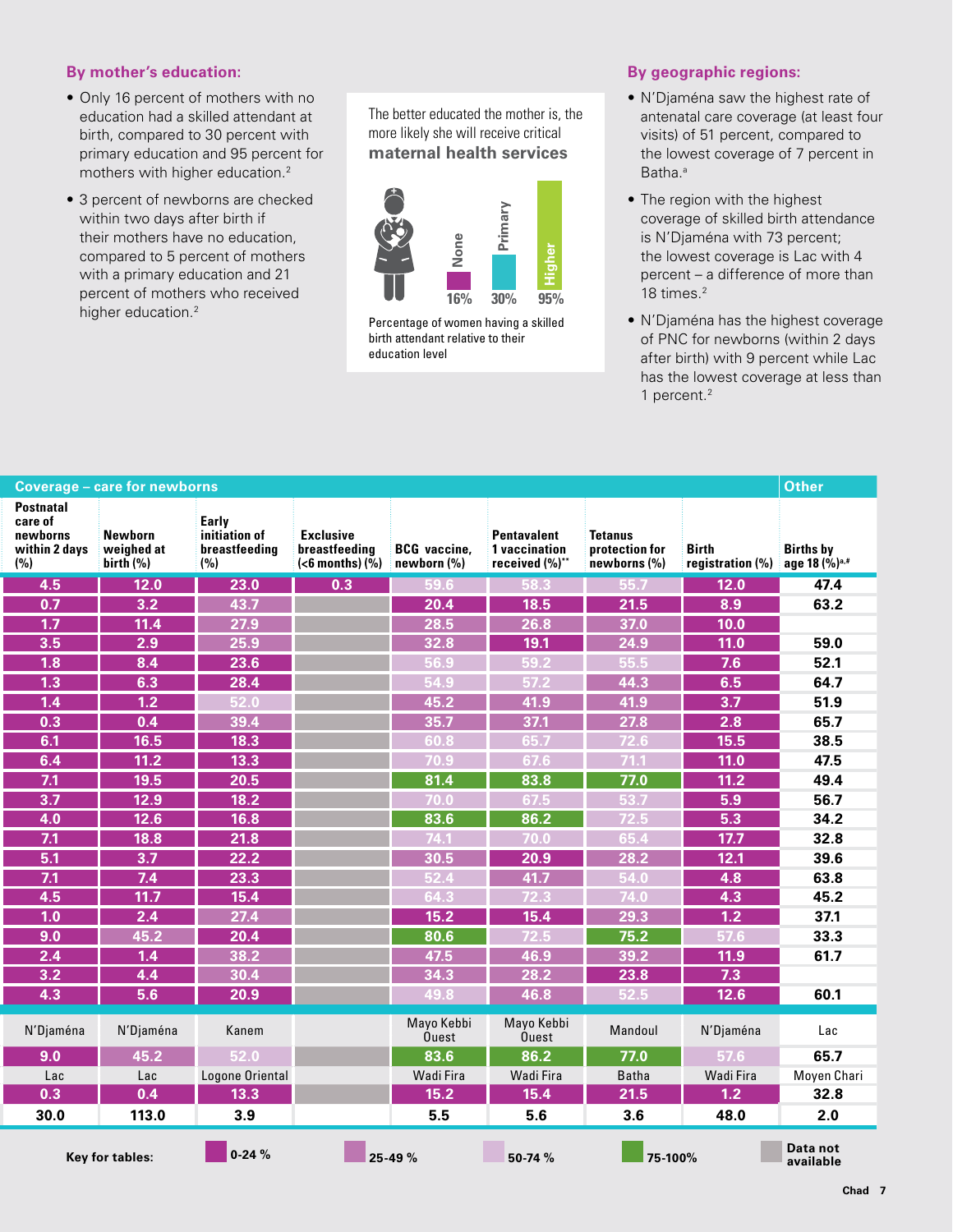### **By mother's education:**

- Only 16 percent of mothers with no education had a skilled attendant at birth, compared to 30 percent with primary education and 95 percent for mothers with higher education.2
- 3 percent of newborns are checked within two days after birth if their mothers have no education, compared to 5 percent of mothers with a primary education and 21 percent of mothers who received higher education.<sup>2</sup>

The better educated the mother is, the more likely she will receive critical **maternal health services**



Percentage of women having a skilled birth attendant relative to their education level

#### **By geographic regions:**

- N'Djaména saw the highest rate of antenatal care coverage (at least four visits) of 51 percent, compared to the lowest coverage of 7 percent in Batha.<sup>a</sup>
- The region with the highest coverage of skilled birth attendance is N'Djaména with 73 percent; the lowest coverage is Lac with 4 percent – a difference of more than 18 times.<sup>2</sup>
- N'Djaména has the highest coverage of PNC for newborns (within 2 days after birth) with 9 percent while Lac has the lowest coverage at less than 1 percent.2

| <b>Coverage - care for newborns</b>                             |                                    |                                                |                                                       |                                    |                                               |                                           |                           | Other                                         |
|-----------------------------------------------------------------|------------------------------------|------------------------------------------------|-------------------------------------------------------|------------------------------------|-----------------------------------------------|-------------------------------------------|---------------------------|-----------------------------------------------|
| <b>Postnatal</b><br>care of<br>newborns<br>within 2 days<br>(%) | Newborn<br>weighed at<br>birth (%) | Early<br>initiation of<br>breastfeeding<br>(%) | <b>Exclusive</b><br>breastfeeding<br>$(6 months)$ (%) | <b>BCG</b> vaccine,<br>newborn (%) | Pentavalent<br>1 vaccination<br>received (%)* | Tetanus<br>protection for<br>newborns (%) | Birth<br>registration (%) | <b>Births by</b><br>age 18 (%) <sup>a,#</sup> |
| 4.5                                                             | 12.0                               | 23.0                                           | $\overline{0.3}$                                      | 59.6                               | $-58.3$                                       | $-55.7$                                   | 12.0                      | 47.4                                          |
| 0.7                                                             | 3.2                                | 43.7                                           |                                                       | 20.4                               | 18.5                                          | $21.5$                                    | 8.9                       | 63.2                                          |
| 1.7                                                             | 11.4                               | 27.9                                           |                                                       | 28.5                               | 26.8                                          | 37.0                                      | 10.0                      |                                               |
| 3.5                                                             | 2.9                                | 25.9                                           |                                                       | 32.8                               | 19.1                                          | 24.9                                      | 11.0                      | 59.0                                          |
| $\overline{1.8}$                                                | 8.4                                | 23.6                                           |                                                       | 56.9                               | 59.2                                          | 55.5                                      | 7.6                       | 52.1                                          |
| 1.3                                                             | 6.3                                | 28.4                                           |                                                       | 54.9                               | 57.2                                          | 44.3                                      | 6.5                       | 64.7                                          |
| 1.4                                                             | 1.2                                | 52.0                                           |                                                       | 45.2                               | 41.9                                          | 41.9                                      | 3.7                       | 51.9                                          |
| 0.3                                                             | 0.4                                | 39.4                                           |                                                       | 35.7                               | 37.1                                          | 27.8                                      | 2.8                       | 65.7                                          |
| 6.1                                                             | 16.5                               | 18.3                                           |                                                       | 60.8                               | 65.7                                          | 72.6                                      | $15.5$                    | 38.5                                          |
| 6.4                                                             | $\boxed{11.2}$                     | 13.3                                           |                                                       | 70.9                               | 67.6                                          | 71.1                                      | 11.0                      | 47.5                                          |
| 7.1                                                             | 19.5                               | 20.5                                           |                                                       | 81.4                               | 83.8                                          | 77.0                                      | 11.2                      | 49.4                                          |
| 3.7                                                             | 12.9                               | $18.2$                                         |                                                       | 70.0                               | 67.5                                          | 53.7                                      | 5.9                       | 56.7                                          |
| 4.0                                                             | 12.6                               | $16.8$                                         |                                                       | 83.6                               | 86.2                                          | 72.5                                      | 5.3                       | 34.2                                          |
| 7.1                                                             | $\overline{18.8}$                  | 21.8                                           |                                                       | 74.1                               | 70.0                                          | 65.4                                      | $\overline{17.7}$         | 32.8                                          |
| 5.1                                                             | 3.7                                | 22.2                                           |                                                       | 30.5                               | 20.9                                          | 28.2                                      | 12.1                      | 39.6                                          |
| 7.1                                                             | 7.4                                | 23.3                                           |                                                       | 52.4                               | 41.7                                          | 54.0                                      | 4.8                       | 63.8                                          |
| 4.5                                                             | 11.7                               | 15.4                                           |                                                       | 64.3                               | 72.3                                          | 74.0                                      | 4.3                       | 45.2                                          |
| 1.0                                                             | 2.4                                | 27.4                                           |                                                       | $15.2$                             | 15.4                                          | 29.3                                      | 1.2                       | 37.1                                          |
| 9.0                                                             | 45.2                               | 20.4                                           |                                                       | 80.6                               | 72.5                                          | 75.2                                      | 57.6                      | 33.3                                          |
| 2.4                                                             | 1.4                                | $38.2$                                         |                                                       | 47.5                               | 46.9                                          | 39.2                                      | 11.9                      | 61.7                                          |
| 3.2                                                             | 4.4                                | 30.4                                           |                                                       | 34.3                               | 28.2                                          | 23.8                                      | 7.3                       |                                               |
| 4.3                                                             | 5.6                                | 20.9                                           |                                                       | 49.8                               | 46.8                                          | 52.5                                      | 12.6                      | 60.1                                          |
| N'Djaména                                                       | N'Djaména                          | Kanem                                          |                                                       | Mayo Kebbi<br>Ouest                | Mayo Kebbi<br>Ouest                           | Mandoul                                   | N'Djaména                 | Lac                                           |
| 9.0                                                             | 45.2                               | 52.0                                           |                                                       | 83.6                               | 86.2                                          | 77.0                                      | 57.6                      | 65.7                                          |
| Lac                                                             | Lac                                | Logone Oriental                                |                                                       | Wadi Fira                          | Wadi Fira                                     | Batha                                     | Wadi Fira                 | Moyen Chari                                   |
| 0.3                                                             | 0.4                                | 13.3                                           |                                                       | $15.2$                             | 15.4                                          | 21.5                                      | 1.2                       | 32.8                                          |
| 30.0                                                            | 113.0                              | 3.9                                            |                                                       | 5.5                                | 5.6                                           | 3.6                                       | 48.0                      | 2.0                                           |
|                                                                 | Key for tables:                    | $0-24%$                                        |                                                       | 25-49 %                            | 50-74 %                                       | $-75-100%$                                |                           | Data not<br>available                         |